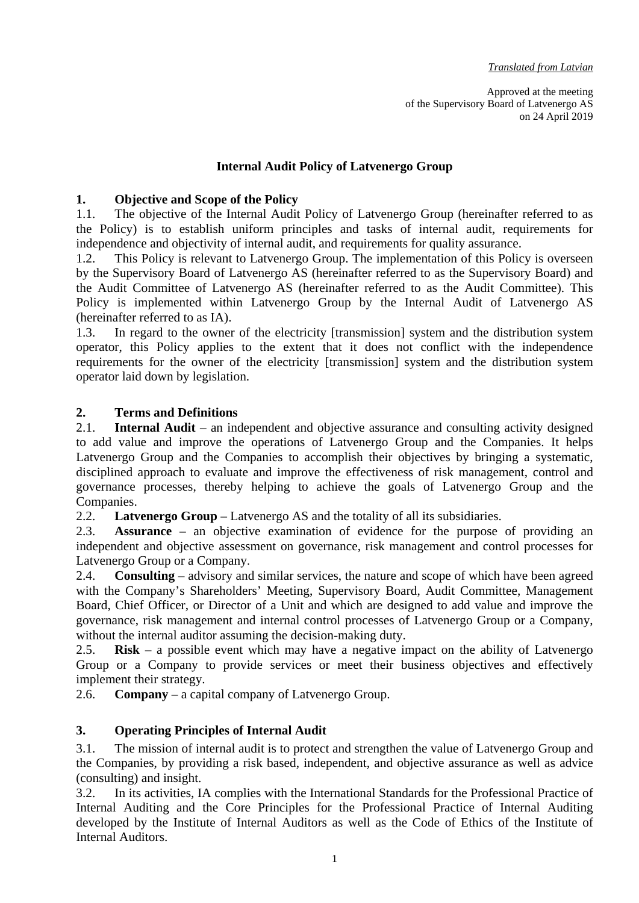Approved at the meeting of the Supervisory Board of Latvenergo AS on 24 April 2019

# **Internal Audit Policy of Latvenergo Group**

#### **1. Objective and Scope of the Policy**

1.1. The objective of the Internal Audit Policy of Latvenergo Group (hereinafter referred to as the Policy) is to establish uniform principles and tasks of internal audit, requirements for independence and objectivity of internal audit, and requirements for quality assurance.

1.2. This Policy is relevant to Latvenergo Group. The implementation of this Policy is overseen by the Supervisory Board of Latvenergo AS (hereinafter referred to as the Supervisory Board) and the Audit Committee of Latvenergo AS (hereinafter referred to as the Audit Committee). This Policy is implemented within Latvenergo Group by the Internal Audit of Latvenergo AS (hereinafter referred to as IA).

1.3. In regard to the owner of the electricity [transmission] system and the distribution system operator, this Policy applies to the extent that it does not conflict with the independence requirements for the owner of the electricity [transmission] system and the distribution system operator laid down by legislation.

#### **2. Terms and Definitions**

2.1. **Internal Audit** – an independent and objective assurance and consulting activity designed to add value and improve the operations of Latvenergo Group and the Companies. It helps Latvenergo Group and the Companies to accomplish their objectives by bringing a systematic, disciplined approach to evaluate and improve the effectiveness of risk management, control and governance processes, thereby helping to achieve the goals of Latvenergo Group and the Companies.

2.2. **Latvenergo Group** – Latvenergo AS and the totality of all its subsidiaries.

2.3. **Assurance** – an objective examination of evidence for the purpose of providing an independent and objective assessment on governance, risk management and control processes for Latvenergo Group or a Company.

2.4. **Consulting** – advisory and similar services, the nature and scope of which have been agreed with the Company's Shareholders' Meeting, Supervisory Board, Audit Committee, Management Board, Chief Officer, or Director of a Unit and which are designed to add value and improve the governance, risk management and internal control processes of Latvenergo Group or a Company, without the internal auditor assuming the decision-making duty.

2.5. **Risk** – a possible event which may have a negative impact on the ability of Latvenergo Group or a Company to provide services or meet their business objectives and effectively implement their strategy.

2.6. **Company** – a capital company of Latvenergo Group.

#### **3. Operating Principles of Internal Audit**

3.1. The mission of internal audit is to protect and strengthen the value of Latvenergo Group and the Companies, by providing a risk based, independent, and objective assurance as well as advice (consulting) and insight.

3.2. In its activities, IA complies with the International Standards for the Professional Practice of Internal Auditing and the Core Principles for the Professional Practice of Internal Auditing developed by the Institute of Internal Auditors as well as the Code of Ethics of the Institute of Internal Auditors.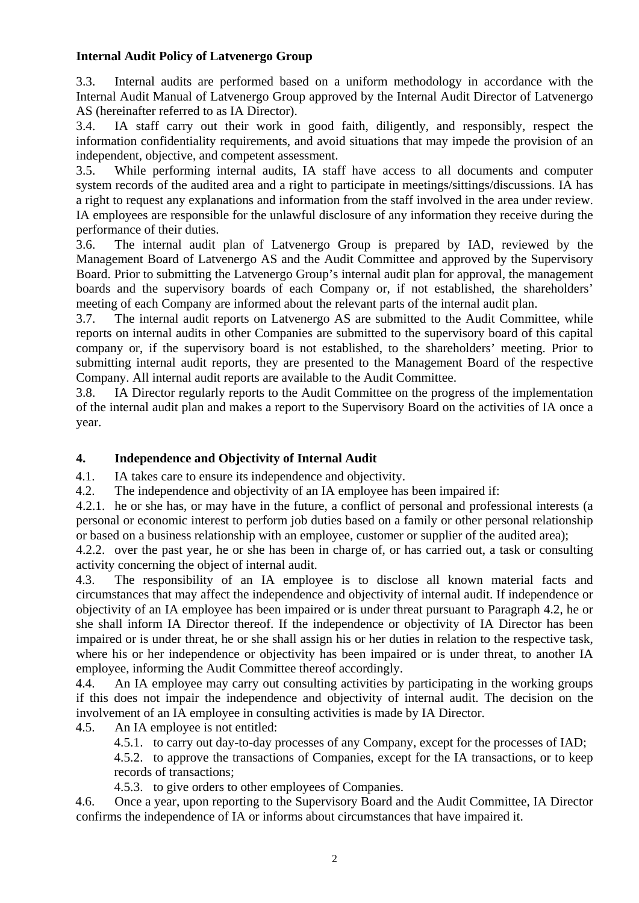### **Internal Audit Policy of Latvenergo Group**

3.3. Internal audits are performed based on a uniform methodology in accordance with the Internal Audit Manual of Latvenergo Group approved by the Internal Audit Director of Latvenergo AS (hereinafter referred to as IA Director).

3.4. IA staff carry out their work in good faith, diligently, and responsibly, respect the information confidentiality requirements, and avoid situations that may impede the provision of an independent, objective, and competent assessment.

3.5. While performing internal audits, IA staff have access to all documents and computer system records of the audited area and a right to participate in meetings/sittings/discussions. IA has a right to request any explanations and information from the staff involved in the area under review. IA employees are responsible for the unlawful disclosure of any information they receive during the performance of their duties.

3.6. The internal audit plan of Latvenergo Group is prepared by IAD, reviewed by the Management Board of Latvenergo AS and the Audit Committee and approved by the Supervisory Board. Prior to submitting the Latvenergo Group's internal audit plan for approval, the management boards and the supervisory boards of each Company or, if not established, the shareholders' meeting of each Company are informed about the relevant parts of the internal audit plan.

3.7. The internal audit reports on Latvenergo AS are submitted to the Audit Committee, while reports on internal audits in other Companies are submitted to the supervisory board of this capital company or, if the supervisory board is not established, to the shareholders' meeting. Prior to submitting internal audit reports, they are presented to the Management Board of the respective Company. All internal audit reports are available to the Audit Committee.

3.8. IA Director regularly reports to the Audit Committee on the progress of the implementation of the internal audit plan and makes a report to the Supervisory Board on the activities of IA once a year.

# **4. Independence and Objectivity of Internal Audit**

4.1. IA takes care to ensure its independence and objectivity.

4.2. The independence and objectivity of an IA employee has been impaired if:

4.2.1. he or she has, or may have in the future, a conflict of personal and professional interests (a personal or economic interest to perform job duties based on a family or other personal relationship or based on a business relationship with an employee, customer or supplier of the audited area);

4.2.2. over the past year, he or she has been in charge of, or has carried out, a task or consulting activity concerning the object of internal audit.

4.3. The responsibility of an IA employee is to disclose all known material facts and circumstances that may affect the independence and objectivity of internal audit. If independence or objectivity of an IA employee has been impaired or is under threat pursuant to Paragraph 4.2, he or she shall inform IA Director thereof. If the independence or objectivity of IA Director has been impaired or is under threat, he or she shall assign his or her duties in relation to the respective task, where his or her independence or objectivity has been impaired or is under threat, to another IA employee, informing the Audit Committee thereof accordingly.

4.4. An IA employee may carry out consulting activities by participating in the working groups if this does not impair the independence and objectivity of internal audit. The decision on the involvement of an IA employee in consulting activities is made by IA Director.

4.5. An IA employee is not entitled:

4.5.1. to carry out day-to-day processes of any Company, except for the processes of IAD;

4.5.2. to approve the transactions of Companies, except for the IA transactions, or to keep records of transactions;

4.5.3. to give orders to other employees of Companies.

4.6. Once a year, upon reporting to the Supervisory Board and the Audit Committee, IA Director confirms the independence of IA or informs about circumstances that have impaired it.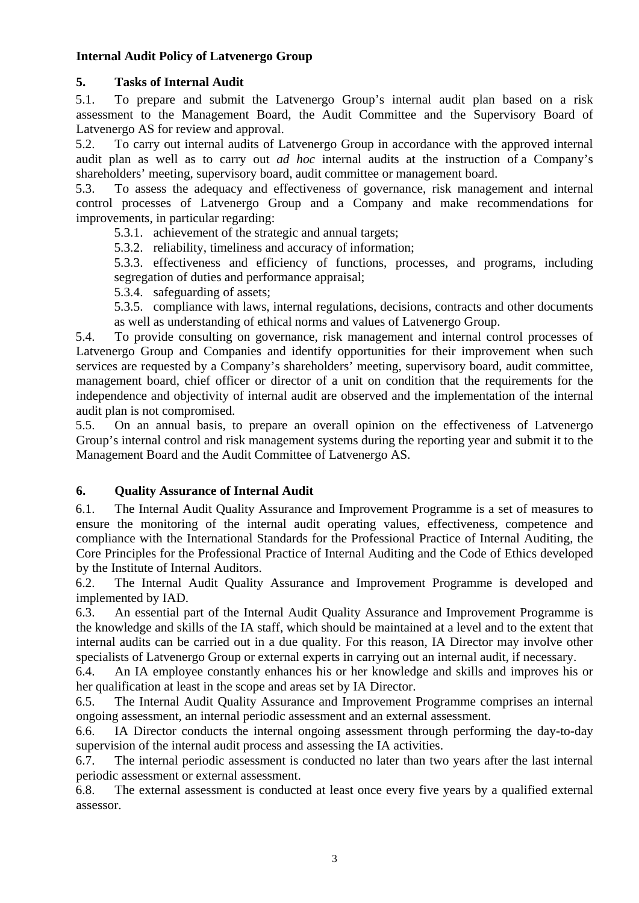### **Internal Audit Policy of Latvenergo Group**

### **5. Tasks of Internal Audit**

5.1. To prepare and submit the Latvenergo Group's internal audit plan based on a risk assessment to the Management Board, the Audit Committee and the Supervisory Board of Latvenergo AS for review and approval.

5.2. To carry out internal audits of Latvenergo Group in accordance with the approved internal audit plan as well as to carry out *ad hoc* internal audits at the instruction of a Company's shareholders' meeting, supervisory board, audit committee or management board.

5.3. To assess the adequacy and effectiveness of governance, risk management and internal control processes of Latvenergo Group and a Company and make recommendations for improvements, in particular regarding:

5.3.1. achievement of the strategic and annual targets;

5.3.2. reliability, timeliness and accuracy of information;

5.3.3. effectiveness and efficiency of functions, processes, and programs, including segregation of duties and performance appraisal;

5.3.4. safeguarding of assets;

5.3.5. compliance with laws, internal regulations, decisions, contracts and other documents as well as understanding of ethical norms and values of Latvenergo Group.

5.4. To provide consulting on governance, risk management and internal control processes of Latvenergo Group and Companies and identify opportunities for their improvement when such services are requested by a Company's shareholders' meeting, supervisory board, audit committee, management board, chief officer or director of a unit on condition that the requirements for the independence and objectivity of internal audit are observed and the implementation of the internal audit plan is not compromised.

5.5. On an annual basis, to prepare an overall opinion on the effectiveness of Latvenergo Group's internal control and risk management systems during the reporting year and submit it to the Management Board and the Audit Committee of Latvenergo AS.

#### **6. Quality Assurance of Internal Audit**

6.1. The Internal Audit Quality Assurance and Improvement Programme is a set of measures to ensure the monitoring of the internal audit operating values, effectiveness, competence and compliance with the International Standards for the Professional Practice of Internal Auditing, the Core Principles for the Professional Practice of Internal Auditing and the Code of Ethics developed by the Institute of Internal Auditors.

6.2. The Internal Audit Quality Assurance and Improvement Programme is developed and implemented by IAD.

6.3. An essential part of the Internal Audit Quality Assurance and Improvement Programme is the knowledge and skills of the IA staff, which should be maintained at a level and to the extent that internal audits can be carried out in a due quality. For this reason, IA Director may involve other specialists of Latvenergo Group or external experts in carrying out an internal audit, if necessary.

6.4. An IA employee constantly enhances his or her knowledge and skills and improves his or her qualification at least in the scope and areas set by IA Director.

6.5. The Internal Audit Quality Assurance and Improvement Programme comprises an internal ongoing assessment, an internal periodic assessment and an external assessment.

6.6. IA Director conducts the internal ongoing assessment through performing the day-to-day supervision of the internal audit process and assessing the IA activities.

6.7. The internal periodic assessment is conducted no later than two years after the last internal periodic assessment or external assessment.

6.8. The external assessment is conducted at least once every five years by a qualified external assessor.